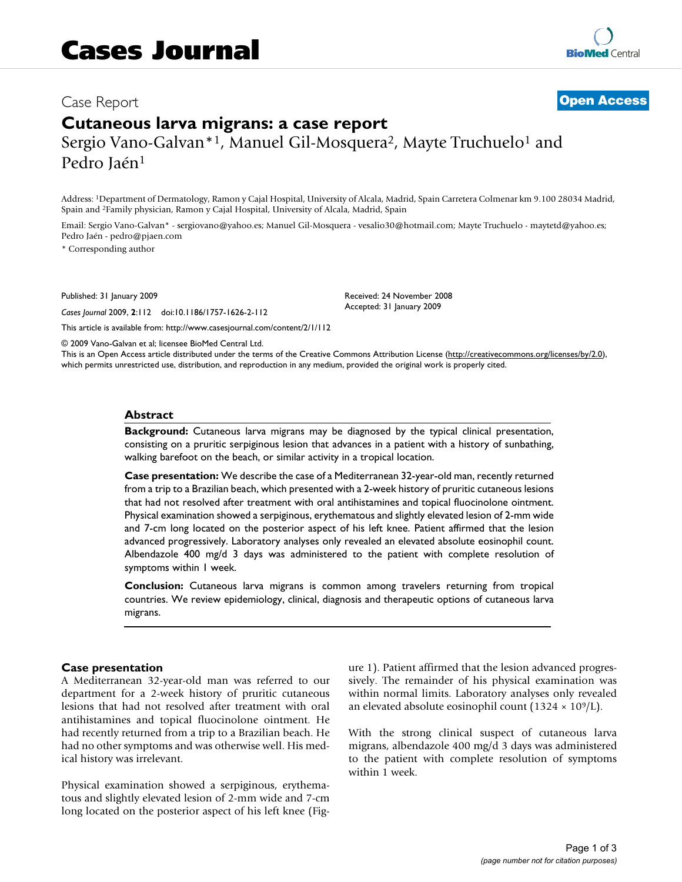# Case Report **[Open Access](http://www.biomedcentral.com/info/about/charter/)**

# **Cutaneous larva migrans: a case report** Sergio Vano-Galvan<sup>\*1</sup>, Manuel Gil-Mosquera<sup>2</sup>, Mayte Truchuelo<sup>1</sup> and Pedro Jaén<sup>1</sup>

Address: 1Department of Dermatology, Ramon y Cajal Hospital, University of Alcala, Madrid, Spain Carretera Colmenar km 9.100 28034 Madrid, Spain and 2Family physician, Ramon y Cajal Hospital, University of Alcala, Madrid, Spain

Email: Sergio Vano-Galvan\* - sergiovano@yahoo.es; Manuel Gil-Mosquera - vesalio30@hotmail.com; Mayte Truchuelo - maytetd@yahoo.es; Pedro Jaén - pedro@pjaen.com

\* Corresponding author

Published: 31 January 2009

*Cases Journal* 2009, **2**:112 doi:10.1186/1757-1626-2-112

[This article is available from: http://www.casesjournal.com/content/2/1/112](http://www.casesjournal.com/content/2/1/112)

© 2009 Vano-Galvan et al; licensee BioMed Central Ltd.

This is an Open Access article distributed under the terms of the Creative Commons Attribution License [\(http://creativecommons.org/licenses/by/2.0\)](http://creativecommons.org/licenses/by/2.0), which permits unrestricted use, distribution, and reproduction in any medium, provided the original work is properly cited.

Received: 24 November 2008 Accepted: 31 January 2009

### **Abstract**

**Background:** Cutaneous larva migrans may be diagnosed by the typical clinical presentation, consisting on a pruritic serpiginous lesion that advances in a patient with a history of sunbathing, walking barefoot on the beach, or similar activity in a tropical location.

**Case presentation:** We describe the case of a Mediterranean 32-year-old man, recently returned from a trip to a Brazilian beach, which presented with a 2-week history of pruritic cutaneous lesions that had not resolved after treatment with oral antihistamines and topical fluocinolone ointment. Physical examination showed a serpiginous, erythematous and slightly elevated lesion of 2-mm wide and 7-cm long located on the posterior aspect of his left knee. Patient affirmed that the lesion advanced progressively. Laboratory analyses only revealed an elevated absolute eosinophil count. Albendazole 400 mg/d 3 days was administered to the patient with complete resolution of symptoms within 1 week.

**Conclusion:** Cutaneous larva migrans is common among travelers returning from tropical countries. We review epidemiology, clinical, diagnosis and therapeutic options of cutaneous larva migrans.

#### **Case presentation**

A Mediterranean 32-year-old man was referred to our department for a 2-week history of pruritic cutaneous lesions that had not resolved after treatment with oral antihistamines and topical fluocinolone ointment. He had recently returned from a trip to a Brazilian beach. He had no other symptoms and was otherwise well. His medical history was irrelevant.

Physical examination showed a serpiginous, erythematous and slightly elevated lesion of 2-mm wide and 7-cm long located on the posterior aspect of his left knee (Figure 1). Patient affirmed that the lesion advanced progressively. The remainder of his physical examination was within normal limits. Laboratory analyses only revealed an elevated absolute eosinophil count (1324  $\times$  10<sup>9</sup>/L).

With the strong clinical suspect of cutaneous larva migrans, albendazole 400 mg/d 3 days was administered to the patient with complete resolution of symptoms within 1 week.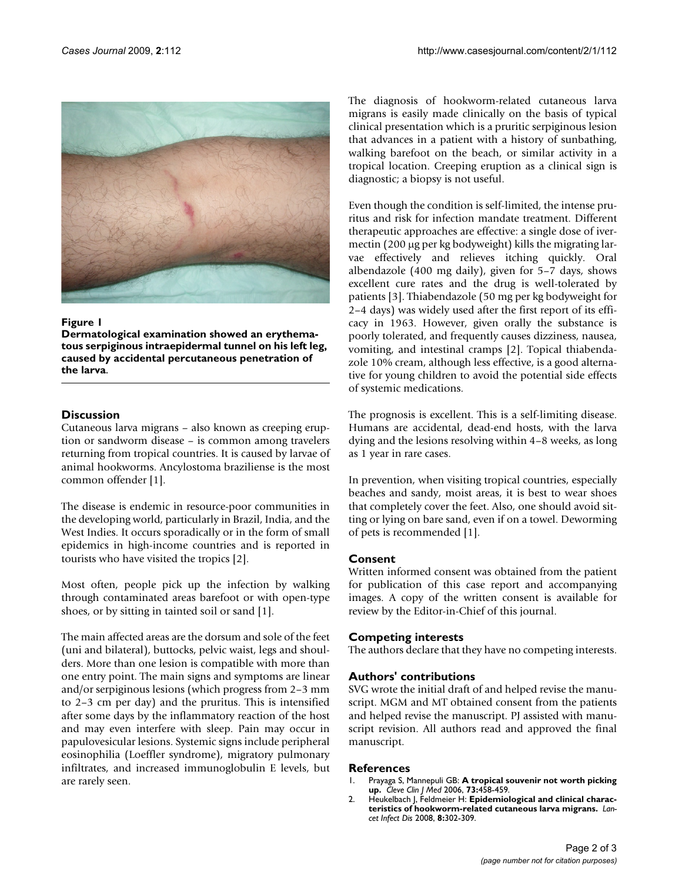

# Figure 1

**Dermatological examination showed an erythematous serpiginous intraepidermal tunnel on his left leg, caused by accidental percutaneous penetration of the larva**.

# **Discussion**

Cutaneous larva migrans – also known as creeping eruption or sandworm disease – is common among travelers returning from tropical countries. It is caused by larvae of animal hookworms. Ancylostoma braziliense is the most common offender [1].

The disease is endemic in resource-poor communities in the developing world, particularly in Brazil, India, and the West Indies. It occurs sporadically or in the form of small epidemics in high-income countries and is reported in tourists who have visited the tropics [2].

Most often, people pick up the infection by walking through contaminated areas barefoot or with open-type shoes, or by sitting in tainted soil or sand [1].

The main affected areas are the dorsum and sole of the feet (uni and bilateral), buttocks, pelvic waist, legs and shoulders. More than one lesion is compatible with more than one entry point. The main signs and symptoms are linear and/or serpiginous lesions (which progress from 2–3 mm to 2–3 cm per day) and the pruritus. This is intensified after some days by the inflammatory reaction of the host and may even interfere with sleep. Pain may occur in papulovesicular lesions. Systemic signs include peripheral eosinophilia (Loeffler syndrome), migratory pulmonary infiltrates, and increased immunoglobulin E levels, but are rarely seen.

The diagnosis of hookworm-related cutaneous larva migrans is easily made clinically on the basis of typical clinical presentation which is a pruritic serpiginous lesion that advances in a patient with a history of sunbathing, walking barefoot on the beach, or similar activity in a tropical location. Creeping eruption as a clinical sign is diagnostic; a biopsy is not useful.

Even though the condition is self-limited, the intense pruritus and risk for infection mandate treatment. Different therapeutic approaches are effective: a single dose of ivermectin (200 μg per kg bodyweight) kills the migrating larvae effectively and relieves itching quickly. Oral albendazole (400 mg daily), given for 5–7 days, shows excellent cure rates and the drug is well-tolerated by patients [3]. Thiabendazole (50 mg per kg bodyweight for 2–4 days) was widely used after the first report of its efficacy in 1963. However, given orally the substance is poorly tolerated, and frequently causes dizziness, nausea, vomiting, and intestinal cramps [2]. Topical thiabendazole 10% cream, although less effective, is a good alternative for young children to avoid the potential side effects of systemic medications.

The prognosis is excellent. This is a self-limiting disease. Humans are accidental, dead-end hosts, with the larva dying and the lesions resolving within 4–8 weeks, as long as 1 year in rare cases.

In prevention, when visiting tropical countries, especially beaches and sandy, moist areas, it is best to wear shoes that completely cover the feet. Also, one should avoid sitting or lying on bare sand, even if on a towel. Deworming of pets is recommended [1].

# **Consent**

Written informed consent was obtained from the patient for publication of this case report and accompanying images. A copy of the written consent is available for review by the Editor-in-Chief of this journal.

# **Competing interests**

The authors declare that they have no competing interests.

### **Authors' contributions**

SVG wrote the initial draft of and helped revise the manuscript. MGM and MT obtained consent from the patients and helped revise the manuscript. PJ assisted with manuscript revision. All authors read and approved the final manuscript.

### **References**

- 1. Prayaga S, Mannepuli GB: **[A tropical souvenir not worth picking](http://www.ncbi.nlm.nih.gov/entrez/query.fcgi?cmd=Retrieve&db=PubMed&dopt=Abstract&list_uids=16708713) [up.](http://www.ncbi.nlm.nih.gov/entrez/query.fcgi?cmd=Retrieve&db=PubMed&dopt=Abstract&list_uids=16708713)** *Cleve Clin J Med* 2006, **73:**458-459.
- 2. Heukelbach J, Feldmeier H: **[Epidemiological and clinical charac](http://www.ncbi.nlm.nih.gov/entrez/query.fcgi?cmd=Retrieve&db=PubMed&dopt=Abstract&list_uids=18471775)[teristics of hookworm-related cutaneous larva migrans.](http://www.ncbi.nlm.nih.gov/entrez/query.fcgi?cmd=Retrieve&db=PubMed&dopt=Abstract&list_uids=18471775)** *Lancet Infect Dis* 2008, **8:**302-309.